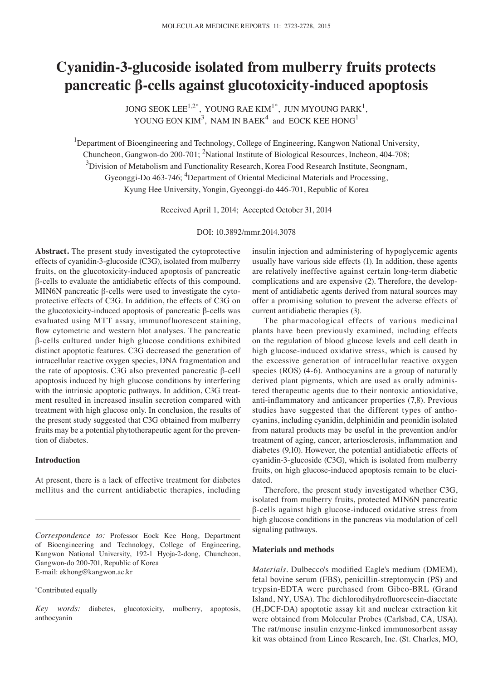# **Cyanidin-3-glucoside isolated from mulberry fruits protects pancreatic β-cells against glucotoxicity-induced apoptosis**

JONG SEOK LEE<sup>1,2\*</sup>, YOUNG RAE KIM<sup>1\*</sup>, JUN MYOUNG PARK<sup>1</sup>, YOUNG EON KIM<sup>3</sup>, NAM IN BAEK<sup>4</sup> and EOCK KEE HONG<sup>1</sup>

<sup>1</sup>Department of Bioengineering and Technology, College of Engineering, Kangwon National University, Chuncheon, Gangwon-do 200-701; <sup>2</sup>National Institute of Biological Resources, Incheon, 404-708;  $3$ Division of Metabolism and Functionality Research, Korea Food Research Institute, Seongnam, Gyeonggi-Do 463-746; <sup>4</sup>Department of Oriental Medicinal Materials and Processing, Kyung Hee University, Yongin, Gyeonggi-do 446-701, Republic of Korea

Received April 1, 2014; Accepted October 31, 2014

DOI: 10.3892/mmr.2014.3078

**Abstract.** The present study investigated the cytoprotective effects of cyanidin-3-glucoside (C3G), isolated from mulberry fruits, on the glucotoxicity-induced apoptosis of pancreatic β-cells to evaluate the antidiabetic effects of this compound. MIN6N pancreatic β-cells were used to investigate the cytoprotective effects of C3G. In addition, the effects of C3G on the glucotoxicity-induced apoptosis of pancreatic β-cells was evaluated using MTT assay, immunofluorescent staining, flow cytometric and western blot analyses. The pancreatic β-cells cultured under high glucose conditions exhibited distinct apoptotic features. C3G decreased the generation of intracellular reactive oxygen species, DNA fragmentation and the rate of apoptosis. C3G also prevented pancreatic β-cell apoptosis induced by high glucose conditions by interfering with the intrinsic apoptotic pathways. In addition, C3G treatment resulted in increased insulin secretion compared with treatment with high glucose only. In conclusion, the results of the present study suggested that C3G obtained from mulberry fruits may be a potential phytotherapeutic agent for the prevention of diabetes.

## **Introduction**

At present, there is a lack of effective treatment for diabetes mellitus and the current antidiabetic therapies, including

\* Contributed equally

*Key words:* diabetes, glucotoxicity, mulberry, apoptosis, anthocyanin

insulin injection and administering of hypoglycemic agents usually have various side effects (1). In addition, these agents are relatively ineffective against certain long-term diabetic complications and are expensive (2). Therefore, the development of antidiabetic agents derived from natural sources may offer a promising solution to prevent the adverse effects of current antidiabetic therapies (3).

The pharmacological effects of various medicinal plants have been previously examined, including effects on the regulation of blood glucose levels and cell death in high glucose-induced oxidative stress, which is caused by the excessive generation of intracellular reactive oxygen species (ROS) (4-6). Anthocyanins are a group of naturally derived plant pigments, which are used as orally administered therapeutic agents due to their nontoxic antioxidative, anti-inflammatory and anticancer properties (7,8). Previous studies have suggested that the different types of anthocyanins, including cyanidin, delphinidin and peonidin isolated from natural products may be useful in the prevention and/or treatment of aging, cancer, arteriosclerosis, inflammation and diabetes (9,10). However, the potential antidiabetic effects of cyanidin-3-glucoside (C3G), which is isolated from mulberry fruits, on high glucose-induced apoptosis remain to be elucidated.

Therefore, the present study investigated whether C3G, isolated from mulberry fruits, protected MIN6N pancreatic β-cells against high glucose-induced oxidative stress from high glucose conditions in the pancreas via modulation of cell signaling pathways.

### **Materials and methods**

*Materials.* Dulbecco's modified Eagle's medium (DMEM), fetal bovine serum (FBS), penicillin-streptomycin (PS) and trypsin-EDTA were purchased from Gibco-BRL (Grand Island, NY, USA). The dichlorodihydrofluorescein‑diacetate  $(H<sub>2</sub>DCF-DA)$  apoptotic assay kit and nuclear extraction kit were obtained from Molecular Probes (Carlsbad, CA, USA). The rat/mouse insulin enzyme-linked immunosorbent assay kit was obtained from Linco Research, Inc. (St. Charles, MO,

*Correspondence to:* Professor Eock Kee Hong, Department of Bioengineering and Technology, College of Engineering, Kangwon National University, 192-1 Hyoja-2-dong, Chuncheon, Gangwon-do 200-701, Republic of Korea E-mail: ekhong@kangwon.ac.kr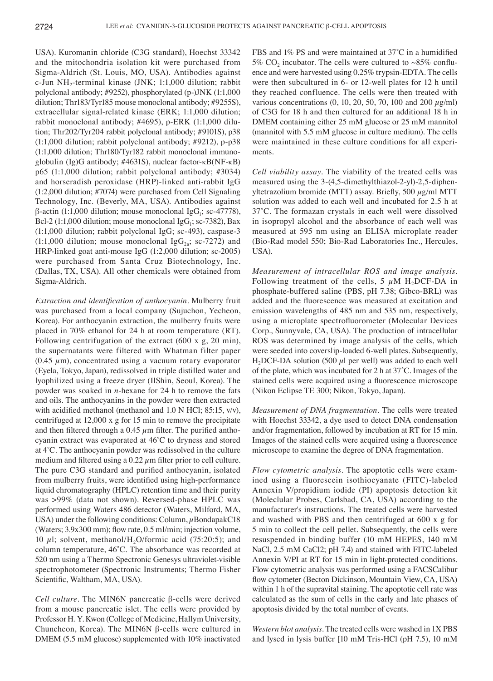USA). Kuromanin chloride (C3G standard), Hoechst 33342 and the mitochondria isolation kit were purchased from Sigma-Aldrich (St. Louis, MO, USA). Antibodies against c-Jun NH<sub>2</sub>-terminal kinase (JNK; 1:1,000 dilution; rabbit polyclonal antibody; #9252), phosphorylated (p-)JNK (1:1,000 dilution; Thr183/Tyr185 mouse monoclonal antibody; #9255S), extracellular signal-related kinase (ERK; 1:1,000 dilution; rabbit monoclonal antibody; #4695), p-ERK (1:1,000 dilution; Thr202/Tyr204 rabbit polyclonal antibody; #9101S), p38 (1:1,000 dilution; rabbit polyclonal antibody; #9212), p-p38 (1:1,000 dilution; Thr180/Tyr182 rabbit monoclonal immunoglobulin (Ig)G antibody; #4631S), nuclear factor-κB(NF-κB) p65 (1:1,000 dilution; rabbit polyclonal antibody; #3034) and horseradish peroxidase (HRP)-linked anti-rabbit IgG (1:2,000 dilution; #7074) were purchased from Cell Signaling Technology, Inc. (Beverly, MA, USA). Antibodies against  $β$ -actin (1:1,000 dilution; mouse monoclonal IgG<sub>1</sub>; sc-47778), Bcl-2 (1:1,000 dilution; mouse monoclonal IgG<sub>1</sub>; sc-7382), Bax (1:1,000 dilution; rabbit polyclonal IgG; sc-493), caspase-3 (1:1,000 dilution; mouse monoclonal Ig $G_{2a}$ ; sc-7272) and HRP-linked goat anti-mouse IgG (1:2,000 dilution; sc-2005) were purchased from Santa Cruz Biotechnology, Inc. (Dallas, TX, USA). All other chemicals were obtained from Sigma-Aldrich.

*Extraction and identification of anthocyanin.* Mulberry fruit was purchased from a local company (Sujuchon, Yecheon, Korea). For anthocyanin extraction, the mulberry fruits were placed in 70% ethanol for 24 h at room temperature (RT). Following centrifugation of the extract (600 x g, 20 min), the supernatants were filtered with Whatman filter paper  $(0.45 \mu m)$ , concentrated using a vacuum rotary evaporator (Eyela, Tokyo, Japan), redissolved in triple distilled water and lyophilized using a freeze dryer (IlShin, Seoul, Korea). The powder was soaked in *n*-hexane for 24 h to remove the fats and oils. The anthocyanins in the powder were then extracted with acidified methanol (methanol and 1.0 N HCl; 85:15, v/v), centrifuged at 12,000 x g for 15 min to remove the precipitate and then filtered through a 0.45  $\mu$ m filter. The purified anthocyanin extract was evaporated at 46˚C to dryness and stored at 4˚C. The anthocyanin powder was redissolved in the culture medium and filtered using a  $0.22 \mu$ m filter prior to cell culture. The pure C3G standard and purified anthocyanin, isolated from mulberry fruits, were identified using high-performance liquid chromatography (HPLC) retention time and their purity was >99% (data not shown). Reversed-phase HPLC was performed using Waters 486 detector (Waters, Milford, MA, USA) under the following conditions: Column,  $\mu$ BondapakC18 (Waters; 3.9x300 mm); flow rate, 0.5 ml/min; injection volume, 10  $\mu$ l; solvent, methanol/H<sub>2</sub>O/formic acid (75:20:5); and column temperature, 46˚C. The absorbance was recorded at 520 nm using a Thermo Spectronic Genesys ultraviolet-visible spectrophotometer (Spectronic Instruments; Thermo Fisher Scientific, Waltham, MA, USA).

*Cell culture.* The MIN6N pancreatic β-cells were derived from a mouse pancreatic islet. The cells were provided by Professor H. Y. Kwon (College of Medicine, Hallym University, Chuncheon, Korea). The MIN6N β-cells were cultured in DMEM (5.5 mM glucose) supplemented with 10% inactivated FBS and 1% PS and were maintained at 37˚C in a humidified 5% CO<sub>2</sub> incubator. The cells were cultured to  $\sim$ 85% confluence and were harvested using 0.25% trypsin-EDTA. The cells were then subcultured in 6- or 12-well plates for 12 h until they reached confluence. The cells were then treated with various concentrations  $(0, 10, 20, 50, 70, 100$  and  $200 \mu g/ml)$ of C3G for 18 h and then cultured for an additional 18 h in DMEM containing either 25 mM glucose or 25 mM mannitol (mannitol with 5.5 mM glucose in culture medium). The cells were maintained in these culture conditions for all experiments.

*Cell viability assay.* The viability of the treated cells was measured using the 3-(4,5-dimethylthiazol-2-yl)-2,5-diphenyltetrazolium bromide (MTT) assay. Briefly, 500  $\mu$ g/ml MTT solution was added to each well and incubated for 2.5 h at 37˚C. The formazan crystals in each well were dissolved in isopropyl alcohol and the absorbance of each well was measured at 595 nm using an ELISA microplate reader (Bio-Rad model 550; Bio-Rad Laboratories Inc., Hercules, USA).

*Measurement of intracellular ROS and image analysis.*  Following treatment of the cells, 5  $\mu$ M H<sub>2</sub>DCF-DA in phosphate-buffered saline (PBS, pH 7.38; Gibco-BRL) was added and the fluorescence was measured at excitation and emission wavelengths of 485 nm and 535 nm, respectively, using a microplate spectrofluorometer (Molecular Devices Corp., Sunnyvale, CA, USA). The production of intracellular ROS was determined by image analysis of the cells, which were seeded into coverslip-loaded 6-well plates. Subsequently, H<sub>2</sub>DCF-DA solution (500  $\mu$ l per well) was added to each well of the plate, which was incubated for 2 h at 37˚C. Images of the stained cells were acquired using a fluorescence microscope (Nikon Eclipse TE 300; Nikon, Tokyo, Japan).

*Measurement of DNA fragmentation.* The cells were treated with Hoechst 33342, a dye used to detect DNA condensation and/or fragmentation, followed by incubation at RT for 15 min. Images of the stained cells were acquired using a fluorescence microscope to examine the degree of DNA fragmentation.

*Flow cytometric analysis.* The apoptotic cells were examined using a fluorescein isothiocyanate (FITC)-labeled Annexin V/propidium iodide (PI) apoptosis detection kit (Moleclular Probes, Carlsbad, CA, USA) according to the manufacturer's instructions. The treated cells were harvested and washed with PBS and then centrifuged at 600 x g for 5 min to collect the cell pellet. Subsequently, the cells were resuspended in binding buffer (10 mM HEPES, 140 mM NaCl, 2.5 mM CaCl2; pH 7.4) and stained with FITC-labeled Annexin V/PI at RT for 15 min in light-protected conditions. Flow cytometric analysis was performed using a FACSCalibur flow cytometer (Becton Dickinson, Mountain View, CA, USA) within 1 h of the supravital staining. The apoptotic cell rate was calculated as the sum of cells in the early and late phases of apoptosis divided by the total number of events.

*Western blot analysis.* The treated cells were washed in 1X PBS and lysed in lysis buffer [10 mM Tris-HCl (pH 7.5), 10 mM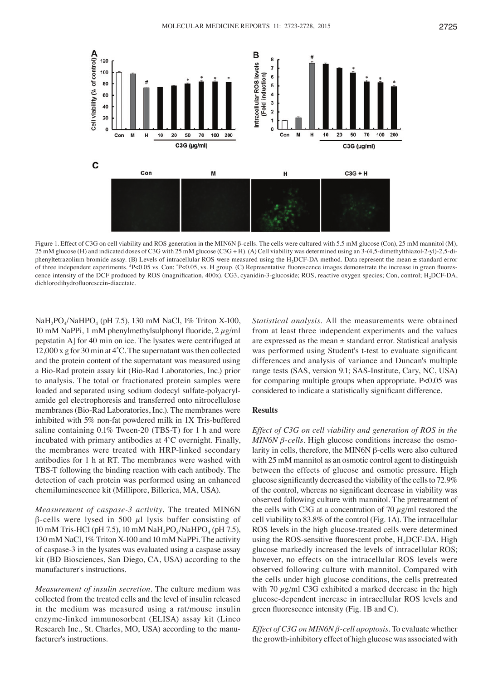

Figure 1. Effect of C3G on cell viability and ROS generation in the MIN6N β-cells. The cells were cultured with 5.5 mM glucose (Con), 25 mM mannitol (M), 25 mM glucose (H) and indicated doses of C3G with 25 mM glucose (C3G + H). (A) Cell viability was determined using an 3-(4,5-dimethylthiazol-2-yl)-2,5-diphenyltetrazolium bromide assay. (B) Levels of intracellular ROS were measured using the H<sub>2</sub>DCF-DA method. Data represent the mean ± standard error of three independent experiments. <sup>*'*</sup>P<0.05 vs. Con; <sup>'</sup>P<0.05, vs. H group. (C) Representative fluorescence images demonstrate the increase in green fluorescence intensity of the DCF produced by ROS (magnification, 400x). CG3, cyanidin-3-glucoside; ROS, reactive oxygen species; Con, control; H<sub>2</sub>DCF-DA, dichlorodihydrofluorescein‑diacetate.

NaH<sub>2</sub>PO<sub>4</sub>/NaHPO<sub>4</sub> (pH 7.5), 130 mM NaCl, 1% Triton X-100, 10 mM NaPPi, 1 mM phenylmethylsulphonyl fluoride,  $2 \mu g/ml$ pepstatin A] for 40 min on ice. The lysates were centrifuged at 12,000 x g for 30 min at 4˚C. The supernatant was then collected and the protein content of the supernatant was measured using a Bio-Rad protein assay kit (Bio-Rad Laboratories, Inc.) prior to analysis. The total or fractionated protein samples were loaded and separated using sodium dodecyl sulfate-polyacrylamide gel electrophoresis and transferred onto nitrocellulose membranes (Bio-Rad Laboratories, Inc.). The membranes were inhibited with 5% non-fat powdered milk in 1X Tris-buffered saline containing 0.1% Tween-20 (TBS-T) for 1 h and were incubated with primary antibodies at 4˚C overnight. Finally, the membranes were treated with HRP-linked secondary antibodies for 1 h at RT. The membranes were washed with TBS-T following the binding reaction with each antibody. The detection of each protein was performed using an enhanced chemiluminescence kit (Millipore, Billerica, MA, USA).

*Measurement of caspase‑3 activity.* The treated MIN6N β-cells were lysed in 500 µl lysis buffer consisting of 10 mM Tris-HCl (pH 7.5), 10 mM  $NaH_2PO_4/NaHPO_4$  (pH 7.5), 130 mM NaCl, 1% Triton X-100 and 10 mM NaPPi. The activity of caspase-3 in the lysates was evaluated using a caspase assay kit (BD Biosciences, San Diego, CA, USA) according to the manufacturer's instructions.

*Measurement of insulin secretion.* The culture medium was collected from the treated cells and the level of insulin released in the medium was measured using a rat/mouse insulin enzyme-linked immunosorbent (ELISA) assay kit (Linco Research Inc., St. Charles, MO, USA) according to the manufacturer's instructions.

*Statistical analysis.* All the measurements were obtained from at least three independent experiments and the values are expressed as the mean ± standard error. Statistical analysis was performed using Student's t-test to evaluate significant differences and analysis of variance and Duncan's multiple range tests (SAS, version 9.1; SAS-Institute, Cary, NC, USA) for comparing multiple groups when appropriate. P<0.05 was considered to indicate a statistically significant difference.

#### **Results**

*Effect of C3G on cell viability and generation of ROS in the MIN6N β-cells.* High glucose conditions increase the osmolarity in cells, therefore, the MIN6N β-cells were also cultured with 25 mM mannitol as an osmotic control agent to distinguish between the effects of glucose and osmotic pressure. High glucose significantly decreased the viability of the cells to 72.9% of the control, whereas no significant decrease in viability was observed following culture with mannitol. The pretreatment of the cells with C3G at a concentration of 70  $\mu$ g/ml restored the cell viability to 83.8% of the control (Fig. 1A). The intracellular ROS levels in the high glucose-treated cells were determined using the ROS-sensitive fluorescent probe,  $H<sub>2</sub>DCF-DA$ . High glucose markedly increased the levels of intracellular ROS; however, no effects on the intracellular ROS levels were observed following culture with mannitol. Compared with the cells under high glucose conditions, the cells pretreated with 70  $\mu$ g/ml C3G exhibited a marked decrease in the high glucose-dependent increase in intracellular ROS levels and green fluorescence intensity (Fig. 1B and C).

*Effect of C3G on MIN6N β‑cell apoptosis.* To evaluate whether the growth-inhibitory effect of high glucose was associated with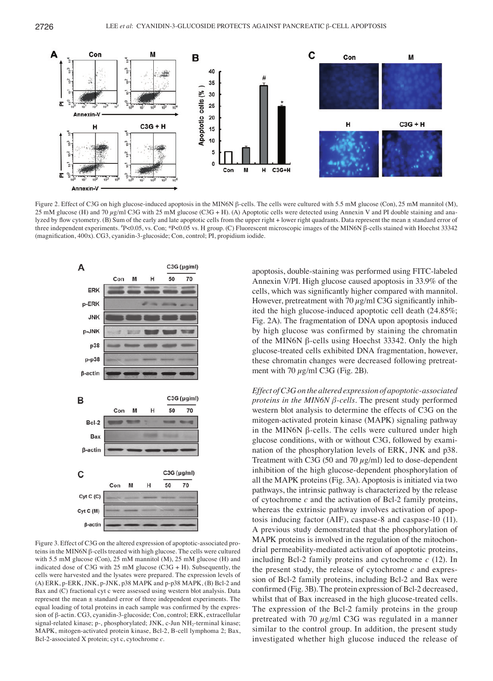

Figure 2. Effect of C3G on high glucose-induced apoptosis in the MIN6N β-cells. The cells were cultured with 5.5 mM glucose (Con), 25 mM mannitol (M), 25 mM glucose (H) and 70  $\mu$ g/ml C3G with 25 mM glucose (C3G + H). (A) Apoptotic cells were detected using Annexin V and PI double staining and analyzed by flow cytometry. (B) Sum of the early and late apoptotic cells from the upper right + lower right quadrants. Data represent the mean  $\pm$  standard error of three independent experiments. <sup>#</sup>P<0.05, vs. Con; \*P<0.05 vs. H group. (C) Fluorescent microscopic images of the MIN6N β-cells stained with Hoechst 33342 (magnification, 400x). CG3, cyanidin‑3‑glucoside; Con, control; PI, propidium iodide.



Figure 3. Effect of C3G on the altered expression of apoptotic-associated proteins in the MIN6N β-cells treated with high glucose. The cells were cultured with 5.5 mM glucose (Con), 25 mM mannitol (M), 25 mM glucose (H) and indicated dose of C3G with  $25 \text{ mM}$  glucose (C3G + H). Subsequently, the cells were harvested and the lysates were prepared. The expression levels of (A) ERK, p-ERK, JNK, p-JNK, p38 MAPK and p-p38 MAPK, (B) Bcl-2 and Bax and (C) fractional cyt c were assessed using western blot analysis. Data represent the mean ± standard error of three independent experiments. The equal loading of total proteins in each sample was confirmed by the expression of β-actin. CG3, cyanidin-3-glucoside; Con, control; ERK, extracellular signal-related kinase; p-, phosphorylated; JNK, c-Jun NH<sub>2</sub>-terminal kinase; MAPK, mitogen-activated protein kinase, Bcl-2, B-cell lymphoma 2; Bax, Bcl-2-associated X protein; cyt c, cytochrome *c*.

apoptosis, double-staining was performed using FITC-labeled Annexin V/PI. High glucose caused apoptosis in 33.9% of the cells, which was significantly higher compared with mannitol. However, pretreatment with 70  $\mu$ g/ml C3G significantly inhibited the high glucose-induced apoptotic cell death (24.85%; Fig. 2A). The fragmentation of DNA upon apoptosis induced by high glucose was confirmed by staining the chromatin of the MIN6N β-cells using Hoechst 33342. Only the high glucose-treated cells exhibited DNA fragmentation, however, these chromatin changes were decreased following pretreatment with 70  $\mu$ g/ml C3G (Fig. 2B).

*Effect of C3G on the altered expression of apoptotic‑associated proteins in the MIN6N β‑cells.* The present study performed western blot analysis to determine the effects of C3G on the mitogen-activated protein kinase (MAPK) signaling pathway in the MIN6N β-cells. The cells were cultured under high glucose conditions, with or without C3G, followed by examination of the phosphorylation levels of ERK, JNK and p38. Treatment with C3G (50 and 70  $\mu$ g/ml) led to dose-dependent inhibition of the high glucose-dependent phosphorylation of all the MAPK proteins (Fig. 3A). Apoptosis is initiated via two pathways, the intrinsic pathway is characterized by the release of cytochrome *c* and the activation of Bcl-2 family proteins, whereas the extrinsic pathway involves activation of apoptosis inducing factor (AIF), caspase-8 and caspase-10 (11). A previous study demonstrated that the phosphorylation of MAPK proteins is involved in the regulation of the mitochondrial permeability-mediated activation of apoptotic proteins, including Bcl-2 family proteins and cytochrome *c* (12). In the present study, the release of cytochrome *c* and expression of Bcl-2 family proteins, including Bcl-2 and Bax were confirmed (Fig. 3B). The protein expression of Bcl‑2 decreased, whilst that of Bax increased in the high glucose-treated cells. The expression of the Bcl-2 family proteins in the group pretreated with 70  $\mu$ g/ml C3G was regulated in a manner similar to the control group. In addition, the present study investigated whether high glucose induced the release of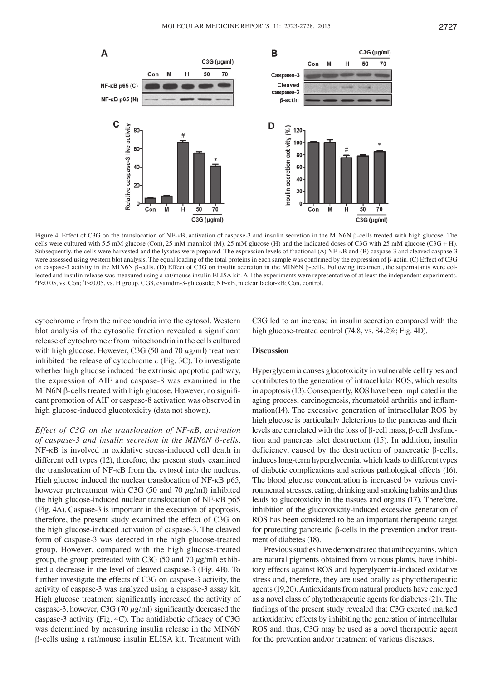50





Figure 4. Effect of C3G on the translocation of NF-κB, activation of caspase-3 and insulin secretion in the MIN6N β-cells treated with high glucose. The cells were cultured with 5.5 mM glucose (Con), 25 mM mannitol (M), 25 mM glucose (H) and the indicated doses of C3G with 25 mM glucose (C3G + H). Subsequently, the cells were harvested and the lysates were prepared. The expression levels of fractional (A) NF-κB and (B) caspase-3 and cleaved caspase-3 were assessed using western blot analysis. The equal loading of the total proteins in each sample was confirmed by the expression of β-actin. (C) Effect of C3G on caspase-3 activity in the MIN6N β-cells. (D) Effect of C3G on insulin secretion in the MIN6N β-cells. Following treatment, the supernatants were collected and insulin release was measured using a rat/mouse insulin ELISA kit. All the experiments were representative of at least the independent experiments. # P<0.05, vs. Con; \* P<0.05, vs. H group. CG3, cyanidin-3-glucoside; NF-κB, nuclear factor-κB; Con, control.

cytochrome *c* from the mitochondria into the cytosol. Western blot analysis of the cytosolic fraction revealed a significant release of cytochrome *c* from mitochondria in the cells cultured with high glucose. However, C3G (50 and 70  $\mu$ g/ml) treatment inhibited the release of cytochrome *c* (Fig. 3C). To investigate whether high glucose induced the extrinsic apoptotic pathway, the expression of AIF and caspase-8 was examined in the MIN6N  $\beta$ -cells treated with high glucose. However, no significant promotion of AIF or caspase-8 activation was observed in high glucose-induced glucotoxicity (data not shown).

A

NF-кВ р65 (С)

 $Con$ 

M

н

*Effect of C3G on the translocation of NF‑κB, activation of caspase‑3 and insulin secretion in the MIN6N β‑cells.*  NF-κB is involved in oxidative stress-induced cell death in different cell types (12), therefore, the present study examined the translocation of NF-κB from the cytosol into the nucleus. High glucose induced the nuclear translocation of NF-κB p65, however pretreatment with C3G (50 and 70  $\mu$ g/ml) inhibited the high glucose-induced nuclear translocation of NF-κB p65 (Fig. 4A). Caspase-3 is important in the execution of apoptosis, therefore, the present study examined the effect of C3G on the high glucose-induced activation of caspase-3. The cleaved form of caspase-3 was detected in the high glucose-treated group. However, compared with the high glucose-treated group, the group pretreated with C3G (50 and 70  $\mu$ g/ml) exhibited a decrease in the level of cleaved caspase-3 (Fig. 4B). To further investigate the effects of C3G on caspase-3 activity, the activity of caspase-3 was analyzed using a caspase-3 assay kit. High glucose treatment significantly increased the activity of caspase-3, however, C3G (70  $\mu$ g/ml) significantly decreased the caspase‑3 activity (Fig. 4C). The antidiabetic efficacy of C3G was determined by measuring insulin release in the MIN6N β-cells using a rat/mouse insulin ELISA kit. Treatment with C3G led to an increase in insulin secretion compared with the high glucose-treated control (74.8, vs. 84.2%; Fig. 4D).

#### **Discussion**

Hyperglycemia causes glucotoxicity in vulnerable cell types and contributes to the generation of intracellular ROS, which results in apoptosis(13). Consequently, ROS have been implicated in the aging process, carcinogenesis, rheumatoid arthritis and inflammation(14). The excessive generation of intracellular ROS by high glucose is particularly deleterious to the pancreas and their levels are correlated with the loss of β-cell mass, β-cell dysfunction and pancreas islet destruction (15). In addition, insulin deficiency, caused by the destruction of pancreatic β-cells, induces long-term hyperglycemia, which leads to different types of diabetic complications and serious pathological effects (16). The blood glucose concentration is increased by various environmental stresses, eating, drinking and smoking habits and thus leads to glucotoxicity in the tissues and organs (17). Therefore, inhibition of the glucotoxicity-induced excessive generation of ROS has been considered to be an important therapeutic target for protecting pancreatic β-cells in the prevention and/or treatment of diabetes (18).

Previous studies have demonstrated that anthocyanins, which are natural pigments obtained from various plants, have inhibitory effects against ROS and hyperglycemia-induced oxidative stress and, therefore, they are used orally as phytotherapeutic agents (19,20). Antioxidants from natural products have emerged as a novel class of phytotherapeutic agents for diabetes (21). The findings of the present study revealed that C3G exerted marked antioxidative effects by inhibiting the generation of intracellular ROS and, thus, C3G may be used as a novel therapeutic agent for the prevention and/or treatment of various diseases.